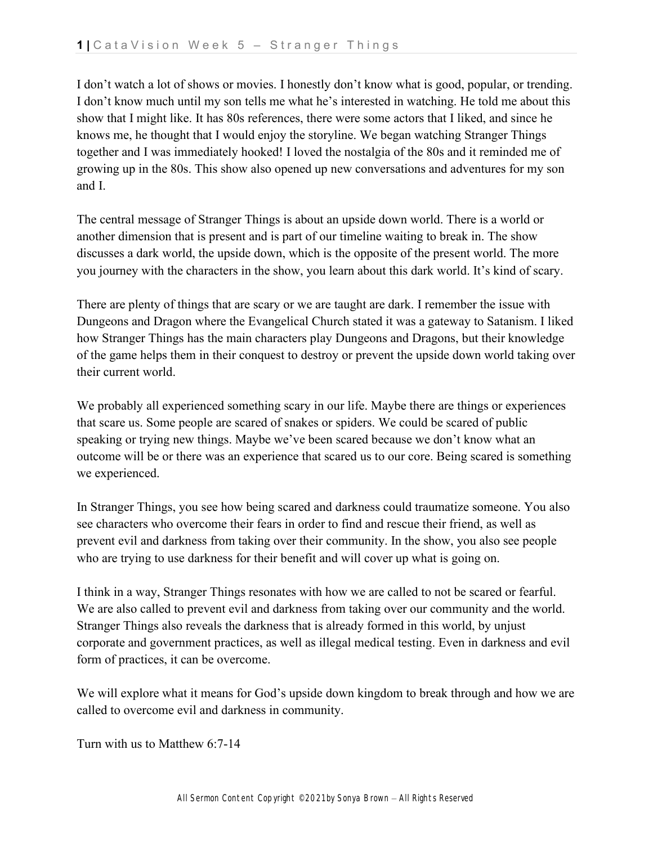I don't watch a lot of shows or movies. I honestly don't know what is good, popular, or trending. I don't know much until my son tells me what he's interested in watching. He told me about this show that I might like. It has 80s references, there were some actors that I liked, and since he knows me, he thought that I would enjoy the storyline. We began watching Stranger Things together and I was immediately hooked! I loved the nostalgia of the 80s and it reminded me of growing up in the 80s. This show also opened up new conversations and adventures for my son and I.

The central message of Stranger Things is about an upside down world. There is a world or another dimension that is present and is part of our timeline waiting to break in. The show discusses a dark world, the upside down, which is the opposite of the present world. The more you journey with the characters in the show, you learn about this dark world. It's kind of scary.

There are plenty of things that are scary or we are taught are dark. I remember the issue with Dungeons and Dragon where the Evangelical Church stated it was a gateway to Satanism. I liked how Stranger Things has the main characters play Dungeons and Dragons, but their knowledge of the game helps them in their conquest to destroy or prevent the upside down world taking over their current world.

We probably all experienced something scary in our life. Maybe there are things or experiences that scare us. Some people are scared of snakes or spiders. We could be scared of public speaking or trying new things. Maybe we've been scared because we don't know what an outcome will be or there was an experience that scared us to our core. Being scared is something we experienced.

In Stranger Things, you see how being scared and darkness could traumatize someone. You also see characters who overcome their fears in order to find and rescue their friend, as well as prevent evil and darkness from taking over their community. In the show, you also see people who are trying to use darkness for their benefit and will cover up what is going on.

I think in a way, Stranger Things resonates with how we are called to not be scared or fearful. We are also called to prevent evil and darkness from taking over our community and the world. Stranger Things also reveals the darkness that is already formed in this world, by unjust corporate and government practices, as well as illegal medical testing. Even in darkness and evil form of practices, it can be overcome.

We will explore what it means for God's upside down kingdom to break through and how we are called to overcome evil and darkness in community.

Turn with us to Matthew 6:7-14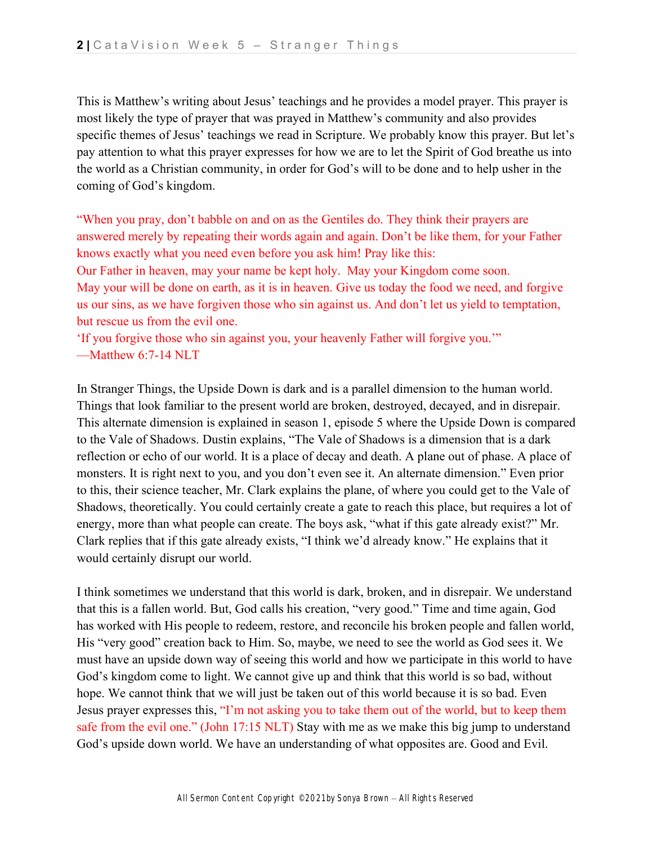This is Matthew's writing about Jesus' teachings and he provides a model prayer. This prayer is most likely the type of prayer that was prayed in Matthew's community and also provides specific themes of Jesus' teachings we read in Scripture. We probably know this prayer. But let's pay attention to what this prayer expresses for how we are to let the Spirit of God breathe us into the world as a Christian community, in order for God's will to be done and to help usher in the coming of God's kingdom.

"When you pray, don't babble on and on as the Gentiles do. They think their prayers are answered merely by repeating their words again and again. Don't be like them, for your Father knows exactly what you need even before you ask him! Pray like this:

Our Father in heaven, may your name be kept holy. May your Kingdom come soon. May your will be done on earth, as it is in heaven. Give us today the food we need, and forgive us our sins, as we have forgiven those who sin against us. And don't let us yield to temptation, but rescue us from the evil one.

'If you forgive those who sin against you, your heavenly Father will forgive you.'" —Matthew 6:7-14 NLT

In Stranger Things, the Upside Down is dark and is a parallel dimension to the human world. Things that look familiar to the present world are broken, destroyed, decayed, and in disrepair. This alternate dimension is explained in season 1, episode 5 where the Upside Down is compared to the Vale of Shadows. Dustin explains, "The Vale of Shadows is a dimension that is a dark reflection or echo of our world. It is a place of decay and death. A plane out of phase. A place of monsters. It is right next to you, and you don't even see it. An alternate dimension." Even prior to this, their science teacher, Mr. Clark explains the plane, of where you could get to the Vale of Shadows, theoretically. You could certainly create a gate to reach this place, but requires a lot of energy, more than what people can create. The boys ask, "what if this gate already exist?" Mr. Clark replies that if this gate already exists, "I think we'd already know." He explains that it would certainly disrupt our world.

I think sometimes we understand that this world is dark, broken, and in disrepair. We understand that this is a fallen world. But, God calls his creation, "very good." Time and time again, God has worked with His people to redeem, restore, and reconcile his broken people and fallen world, His "very good" creation back to Him. So, maybe, we need to see the world as God sees it. We must have an upside down way of seeing this world and how we participate in this world to have God's kingdom come to light. We cannot give up and think that this world is so bad, without hope. We cannot think that we will just be taken out of this world because it is so bad. Even Jesus prayer expresses this, "I'm not asking you to take them out of the world, but to keep them safe from the evil one." (John 17:15 NLT) Stay with me as we make this big jump to understand God's upside down world. We have an understanding of what opposites are. Good and Evil.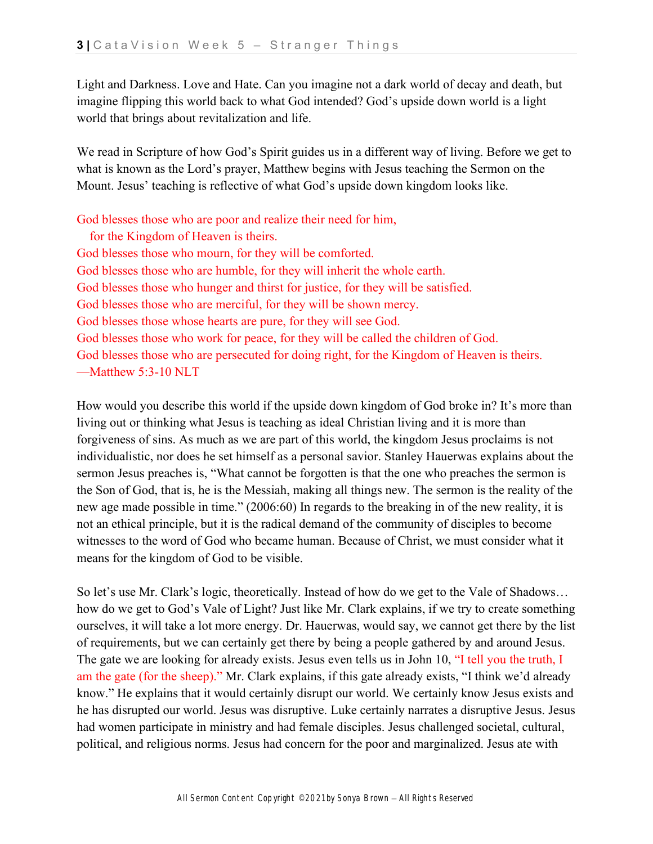Light and Darkness. Love and Hate. Can you imagine not a dark world of decay and death, but imagine flipping this world back to what God intended? God's upside down world is a light world that brings about revitalization and life.

We read in Scripture of how God's Spirit guides us in a different way of living. Before we get to what is known as the Lord's prayer, Matthew begins with Jesus teaching the Sermon on the Mount. Jesus' teaching is reflective of what God's upside down kingdom looks like.

God blesses those who are poor and realize their need for him, for the Kingdom of Heaven is theirs. God blesses those who mourn, for they will be comforted. God blesses those who are humble, for they will inherit the whole earth. God blesses those who hunger and thirst for justice, for they will be satisfied. God blesses those who are merciful, for they will be shown mercy. God blesses those whose hearts are pure, for they will see God. God blesses those who work for peace, for they will be called the children of God. God blesses those who are persecuted for doing right, for the Kingdom of Heaven is theirs. —Matthew 5:3-10 NLT

How would you describe this world if the upside down kingdom of God broke in? It's more than living out or thinking what Jesus is teaching as ideal Christian living and it is more than forgiveness of sins. As much as we are part of this world, the kingdom Jesus proclaims is not individualistic, nor does he set himself as a personal savior. Stanley Hauerwas explains about the sermon Jesus preaches is, "What cannot be forgotten is that the one who preaches the sermon is the Son of God, that is, he is the Messiah, making all things new. The sermon is the reality of the new age made possible in time." (2006:60) In regards to the breaking in of the new reality, it is not an ethical principle, but it is the radical demand of the community of disciples to become witnesses to the word of God who became human. Because of Christ, we must consider what it means for the kingdom of God to be visible.

So let's use Mr. Clark's logic, theoretically. Instead of how do we get to the Vale of Shadows… how do we get to God's Vale of Light? Just like Mr. Clark explains, if we try to create something ourselves, it will take a lot more energy. Dr. Hauerwas, would say, we cannot get there by the list of requirements, but we can certainly get there by being a people gathered by and around Jesus. The gate we are looking for already exists. Jesus even tells us in John 10, "I tell you the truth, I am the gate (for the sheep)." Mr. Clark explains, if this gate already exists, "I think we'd already know." He explains that it would certainly disrupt our world. We certainly know Jesus exists and he has disrupted our world. Jesus was disruptive. Luke certainly narrates a disruptive Jesus. Jesus had women participate in ministry and had female disciples. Jesus challenged societal, cultural, political, and religious norms. Jesus had concern for the poor and marginalized. Jesus ate with